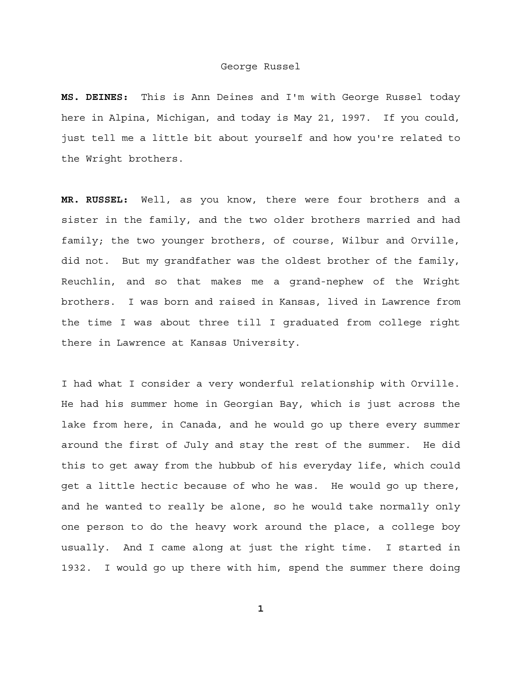**MS. DEINES:** This is Ann Deines and I'm with George Russel today here in Alpina, Michigan, and today is May 21, 1997. If you could, just tell me a little bit about yourself and how you're related to the Wright brothers.

**MR. RUSSEL:** Well, as you know, there were four brothers and a sister in the family, and the two older brothers married and had family; the two younger brothers, of course, Wilbur and Orville, did not. But my grandfather was the oldest brother of the family, Reuchlin, and so that makes me a grand-nephew of the Wright brothers. I was born and raised in Kansas, lived in Lawrence from the time I was about three till I graduated from college right there in Lawrence at Kansas University.

I had what I consider a very wonderful relationship with Orville. He had his summer home in Georgian Bay, which is just across the lake from here, in Canada, and he would go up there every summer around the first of July and stay the rest of the summer. He did this to get away from the hubbub of his everyday life, which could get a little hectic because of who he was. He would go up there, and he wanted to really be alone, so he would take normally only one person to do the heavy work around the place, a college boy usually. And I came along at just the right time. I started in 1932. I would go up there with him, spend the summer there doing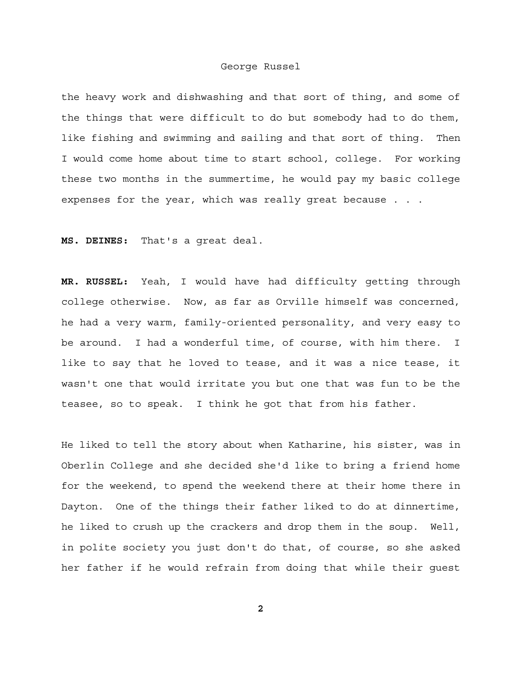the heavy work and dishwashing and that sort of thing, and some of the things that were difficult to do but somebody had to do them, like fishing and swimming and sailing and that sort of thing. Then I would come home about time to start school, college. For working these two months in the summertime, he would pay my basic college expenses for the year, which was really great because . . .

**MS. DEINES:** That's a great deal.

**MR. RUSSEL:** Yeah, I would have had difficulty getting through college otherwise. Now, as far as Orville himself was concerned, he had a very warm, family-oriented personality, and very easy to be around. I had a wonderful time, of course, with him there. I like to say that he loved to tease, and it was a nice tease, it wasn't one that would irritate you but one that was fun to be the teasee, so to speak. I think he got that from his father.

He liked to tell the story about when Katharine, his sister, was in Oberlin College and she decided she'd like to bring a friend home for the weekend, to spend the weekend there at their home there in Dayton. One of the things their father liked to do at dinnertime, he liked to crush up the crackers and drop them in the soup. Well, in polite society you just don't do that, of course, so she asked her father if he would refrain from doing that while their guest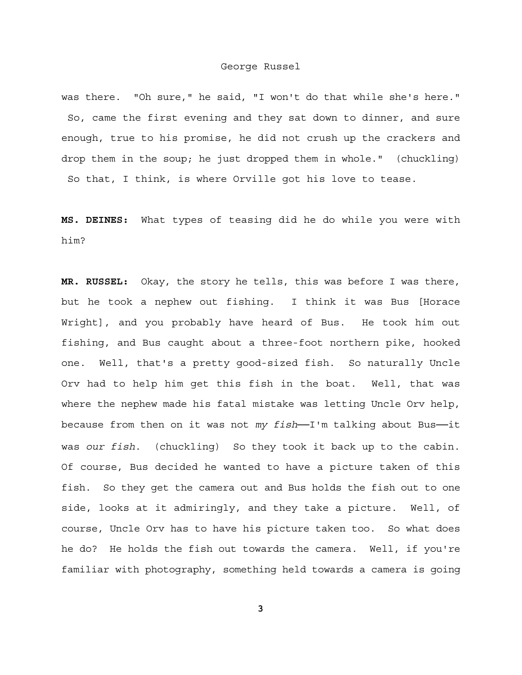was there. "Oh sure," he said, "I won't do that while she's here." So, came the first evening and they sat down to dinner, and sure enough, true to his promise, he did not crush up the crackers and drop them in the soup; he just dropped them in whole." (chuckling) So that, I think, is where Orville got his love to tease.

**MS. DEINES:** What types of teasing did he do while you were with him?

**MR. RUSSEL:** Okay, the story he tells, this was before I was there, but he took a nephew out fishing. I think it was Bus [Horace Wright], and you probably have heard of Bus. He took him out fishing, and Bus caught about a three-foot northern pike, hooked one. Well, that's a pretty good-sized fish. So naturally Uncle Orv had to help him get this fish in the boat. Well, that was where the nephew made his fatal mistake was letting Uncle Orv help, because from then on it was not *my fish*──I'm talking about Bus──it was *our fish*. (chuckling) So they took it back up to the cabin. Of course, Bus decided he wanted to have a picture taken of this fish. So they get the camera out and Bus holds the fish out to one side, looks at it admiringly, and they take a picture. Well, of course, Uncle Orv has to have his picture taken too. So what does he do? He holds the fish out towards the camera. Well, if you're familiar with photography, something held towards a camera is going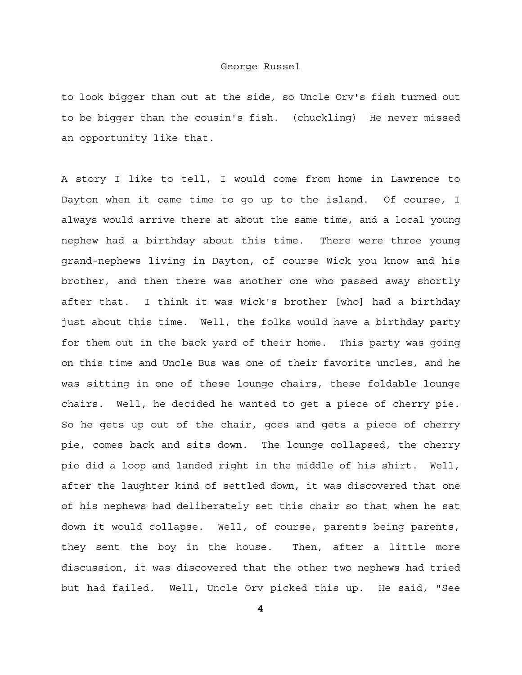to look bigger than out at the side, so Uncle Orv's fish turned out to be bigger than the cousin's fish. (chuckling) He never missed an opportunity like that.

A story I like to tell, I would come from home in Lawrence to Dayton when it came time to go up to the island. Of course, I always would arrive there at about the same time, and a local young nephew had a birthday about this time. There were three young grand-nephews living in Dayton, of course Wick you know and his brother, and then there was another one who passed away shortly after that. I think it was Wick's brother [who] had a birthday just about this time. Well, the folks would have a birthday party for them out in the back yard of their home. This party was going on this time and Uncle Bus was one of their favorite uncles, and he was sitting in one of these lounge chairs, these foldable lounge chairs. Well, he decided he wanted to get a piece of cherry pie. So he gets up out of the chair, goes and gets a piece of cherry pie, comes back and sits down. The lounge collapsed, the cherry pie did a loop and landed right in the middle of his shirt. Well, after the laughter kind of settled down, it was discovered that one of his nephews had deliberately set this chair so that when he sat down it would collapse. Well, of course, parents being parents, they sent the boy in the house. Then, after a little more discussion, it was discovered that the other two nephews had tried but had failed. Well, Uncle Orv picked this up. He said, "See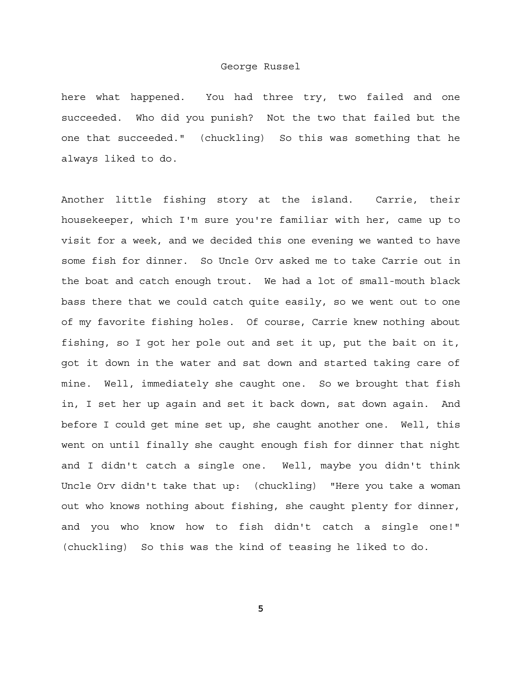here what happened. You had three try, two failed and one succeeded. Who did you punish? Not the two that failed but the one that succeeded." (chuckling) So this was something that he always liked to do.

Another little fishing story at the island. Carrie, their housekeeper, which I'm sure you're familiar with her, came up to visit for a week, and we decided this one evening we wanted to have some fish for dinner. So Uncle Orv asked me to take Carrie out in the boat and catch enough trout. We had a lot of small-mouth black bass there that we could catch quite easily, so we went out to one of my favorite fishing holes. Of course, Carrie knew nothing about fishing, so I got her pole out and set it up, put the bait on it, got it down in the water and sat down and started taking care of mine. Well, immediately she caught one. So we brought that fish in, I set her up again and set it back down, sat down again. And before I could get mine set up, she caught another one. Well, this went on until finally she caught enough fish for dinner that night and I didn't catch a single one. Well, maybe you didn't think Uncle Orv didn't take that up: (chuckling) "Here you take a woman out who knows nothing about fishing, she caught plenty for dinner, and you who know how to fish didn't catch a single one!" (chuckling) So this was the kind of teasing he liked to do.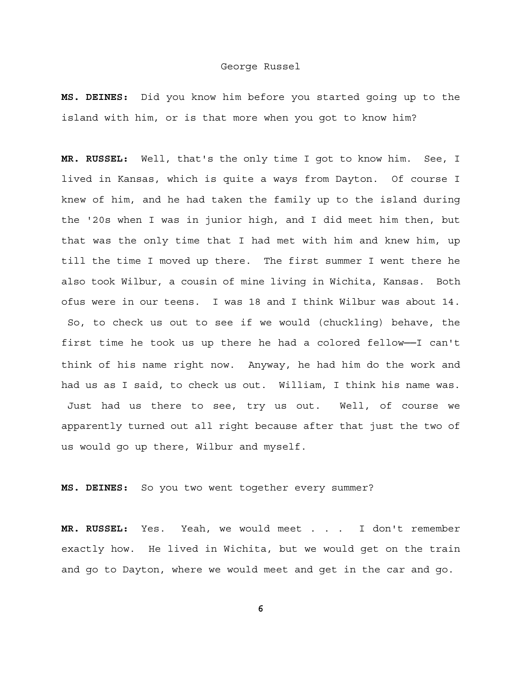**MS. DEINES:** Did you know him before you started going up to the island with him, or is that more when you got to know him?

**MR. RUSSEL:** Well, that's the only time I got to know him. See, I lived in Kansas, which is quite a ways from Dayton. Of course I knew of him, and he had taken the family up to the island during the '20s when I was in junior high, and I did meet him then, but that was the only time that I had met with him and knew him, up till the time I moved up there. The first summer I went there he also took Wilbur, a cousin of mine living in Wichita, Kansas. Both ofus were in our teens. I was 18 and I think Wilbur was about 14. So, to check us out to see if we would (chuckling) behave, the first time he took us up there he had a colored fellow──I can't think of his name right now. Anyway, he had him do the work and had us as I said, to check us out. William, I think his name was. Just had us there to see, try us out. Well, of course we apparently turned out all right because after that just the two of us would go up there, Wilbur and myself.

**MS. DEINES:** So you two went together every summer?

**MR. RUSSEL:** Yes. Yeah, we would meet . . . I don't remember exactly how. He lived in Wichita, but we would get on the train and go to Dayton, where we would meet and get in the car and go.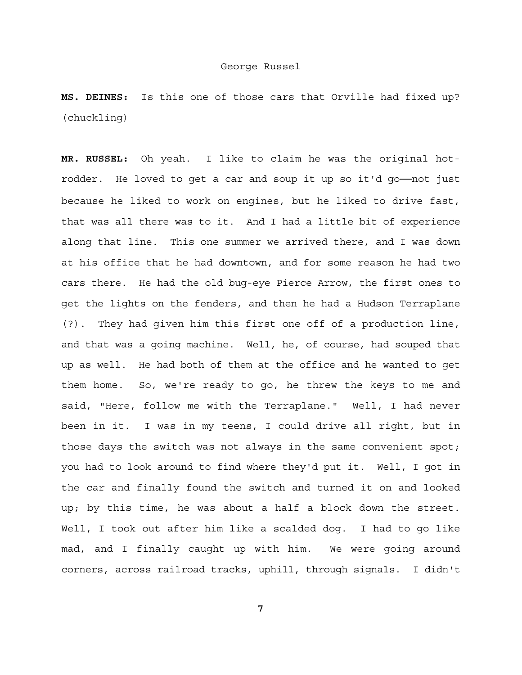**MS. DEINES:** Is this one of those cars that Orville had fixed up? (chuckling)

**MR. RUSSEL:** Oh yeah. I like to claim he was the original hotrodder. He loved to get a car and soup it up so it'd go──not just because he liked to work on engines, but he liked to drive fast, that was all there was to it. And I had a little bit of experience along that line. This one summer we arrived there, and I was down at his office that he had downtown, and for some reason he had two cars there. He had the old bug-eye Pierce Arrow, the first ones to get the lights on the fenders, and then he had a Hudson Terraplane (?). They had given him this first one off of a production line, and that was a going machine. Well, he, of course, had souped that up as well. He had both of them at the office and he wanted to get them home. So, we're ready to go, he threw the keys to me and said, "Here, follow me with the Terraplane." Well, I had never been in it. I was in my teens, I could drive all right, but in those days the switch was not always in the same convenient spot; you had to look around to find where they'd put it. Well, I got in the car and finally found the switch and turned it on and looked up; by this time, he was about a half a block down the street. Well, I took out after him like a scalded dog. I had to go like mad, and I finally caught up with him. We were going around corners, across railroad tracks, uphill, through signals. I didn't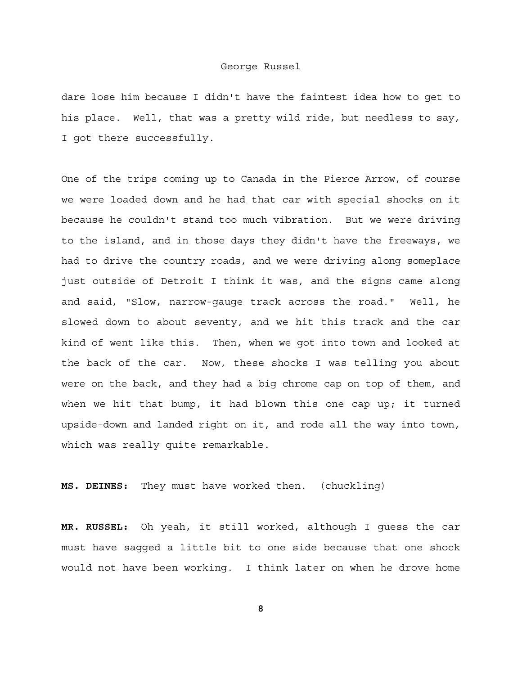dare lose him because I didn't have the faintest idea how to get to his place. Well, that was a pretty wild ride, but needless to say, I got there successfully.

One of the trips coming up to Canada in the Pierce Arrow, of course we were loaded down and he had that car with special shocks on it because he couldn't stand too much vibration. But we were driving to the island, and in those days they didn't have the freeways, we had to drive the country roads, and we were driving along someplace just outside of Detroit I think it was, and the signs came along and said, "Slow, narrow-gauge track across the road." Well, he slowed down to about seventy, and we hit this track and the car kind of went like this. Then, when we got into town and looked at the back of the car. Now, these shocks I was telling you about were on the back, and they had a big chrome cap on top of them, and when we hit that bump, it had blown this one cap up; it turned upside-down and landed right on it, and rode all the way into town, which was really quite remarkable.

**MS. DEINES:** They must have worked then. (chuckling)

**MR. RUSSEL:** Oh yeah, it still worked, although I guess the car must have sagged a little bit to one side because that one shock would not have been working. I think later on when he drove home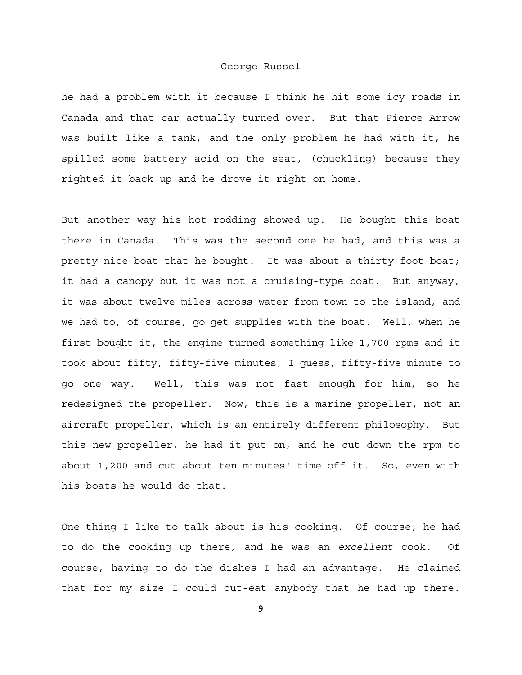he had a problem with it because I think he hit some icy roads in Canada and that car actually turned over. But that Pierce Arrow was built like a tank, and the only problem he had with it, he spilled some battery acid on the seat, (chuckling) because they righted it back up and he drove it right on home.

But another way his hot-rodding showed up. He bought this boat there in Canada. This was the second one he had, and this was a pretty nice boat that he bought. It was about a thirty-foot boat; it had a canopy but it was not a cruising-type boat. But anyway, it was about twelve miles across water from town to the island, and we had to, of course, go get supplies with the boat. Well, when he first bought it, the engine turned something like 1,700 rpms and it took about fifty, fifty-five minutes, I guess, fifty-five minute to go one way. Well, this was not fast enough for him, so he redesigned the propeller. Now, this is a marine propeller, not an aircraft propeller, which is an entirely different philosophy. But this new propeller, he had it put on, and he cut down the rpm to about 1,200 and cut about ten minutes' time off it. So, even with his boats he would do that.

One thing I like to talk about is his cooking. Of course, he had to do the cooking up there, and he was an *excellent* cook. Of course, having to do the dishes I had an advantage. He claimed that for my size I could out-eat anybody that he had up there.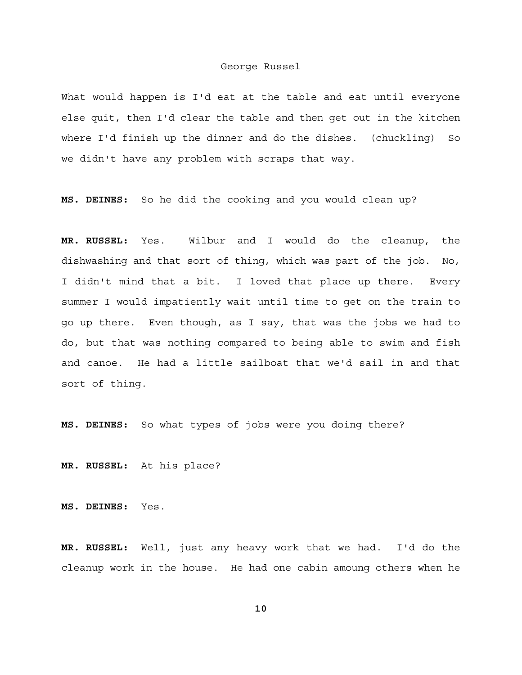What would happen is I'd eat at the table and eat until everyone else quit, then I'd clear the table and then get out in the kitchen where I'd finish up the dinner and do the dishes. (chuckling) So we didn't have any problem with scraps that way.

**MS. DEINES:** So he did the cooking and you would clean up?

**MR. RUSSEL:** Yes. Wilbur and I would do the cleanup, the dishwashing and that sort of thing, which was part of the job. No, I didn't mind that a bit. I loved that place up there. Every summer I would impatiently wait until time to get on the train to go up there. Even though, as I say, that was the jobs we had to do, but that was nothing compared to being able to swim and fish and canoe. He had a little sailboat that we'd sail in and that sort of thing.

**MS. DEINES:** So what types of jobs were you doing there?

**MR. RUSSEL:** At his place?

**MS. DEINES:** Yes.

**MR. RUSSEL:** Well, just any heavy work that we had. I'd do the cleanup work in the house. He had one cabin amoung others when he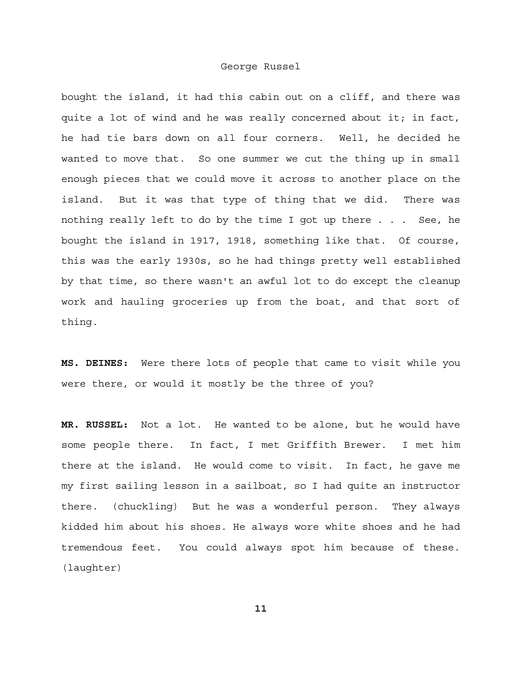bought the island, it had this cabin out on a cliff, and there was quite a lot of wind and he was really concerned about it; in fact, he had tie bars down on all four corners. Well, he decided he wanted to move that. So one summer we cut the thing up in small enough pieces that we could move it across to another place on the island. But it was that type of thing that we did. There was nothing really left to do by the time I got up there . . . See, he bought the island in 1917, 1918, something like that. Of course, this was the early 1930s, so he had things pretty well established by that time, so there wasn't an awful lot to do except the cleanup work and hauling groceries up from the boat, and that sort of thing.

**MS. DEINES:** Were there lots of people that came to visit while you were there, or would it mostly be the three of you?

**MR. RUSSEL:** Not a lot. He wanted to be alone, but he would have some people there. In fact, I met Griffith Brewer. I met him there at the island. He would come to visit. In fact, he gave me my first sailing lesson in a sailboat, so I had quite an instructor there. (chuckling) But he was a wonderful person. They always kidded him about his shoes. He always wore white shoes and he had tremendous feet. You could always spot him because of these. (laughter)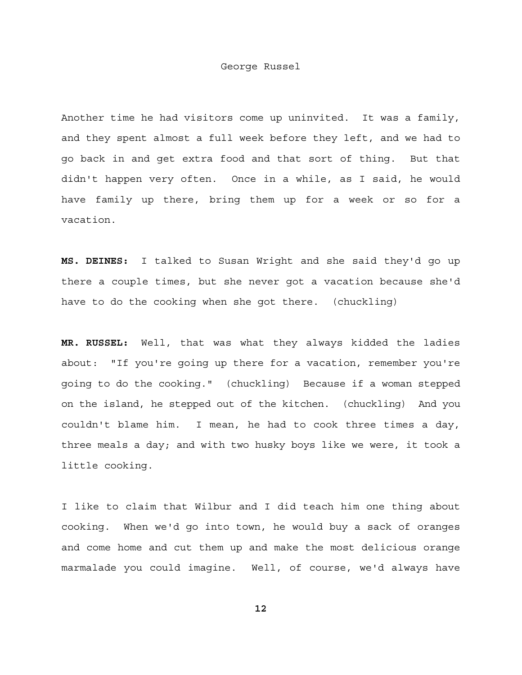Another time he had visitors come up uninvited. It was a family, and they spent almost a full week before they left, and we had to go back in and get extra food and that sort of thing. But that didn't happen very often. Once in a while, as I said, he would have family up there, bring them up for a week or so for a vacation.

**MS. DEINES:** I talked to Susan Wright and she said they'd go up there a couple times, but she never got a vacation because she'd have to do the cooking when she got there. (chuckling)

**MR. RUSSEL:** Well, that was what they always kidded the ladies about: "If you're going up there for a vacation, remember you're going to do the cooking." (chuckling) Because if a woman stepped on the island, he stepped out of the kitchen. (chuckling) And you couldn't blame him. I mean, he had to cook three times a day, three meals a day; and with two husky boys like we were, it took a little cooking.

I like to claim that Wilbur and I did teach him one thing about cooking. When we'd go into town, he would buy a sack of oranges and come home and cut them up and make the most delicious orange marmalade you could imagine. Well, of course, we'd always have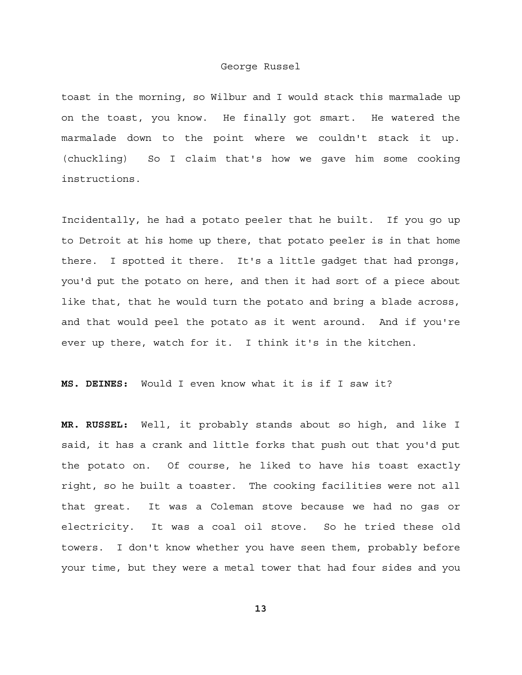toast in the morning, so Wilbur and I would stack this marmalade up on the toast, you know. He finally got smart. He watered the marmalade down to the point where we couldn't stack it up. (chuckling) So I claim that's how we gave him some cooking instructions.

Incidentally, he had a potato peeler that he built. If you go up to Detroit at his home up there, that potato peeler is in that home there. I spotted it there. It's a little gadget that had prongs, you'd put the potato on here, and then it had sort of a piece about like that, that he would turn the potato and bring a blade across, and that would peel the potato as it went around. And if you're ever up there, watch for it. I think it's in the kitchen.

**MS. DEINES:** Would I even know what it is if I saw it?

**MR. RUSSEL:** Well, it probably stands about so high, and like I said, it has a crank and little forks that push out that you'd put the potato on. Of course, he liked to have his toast exactly right, so he built a toaster. The cooking facilities were not all that great. It was a Coleman stove because we had no gas or electricity. It was a coal oil stove. So he tried these old towers. I don't know whether you have seen them, probably before your time, but they were a metal tower that had four sides and you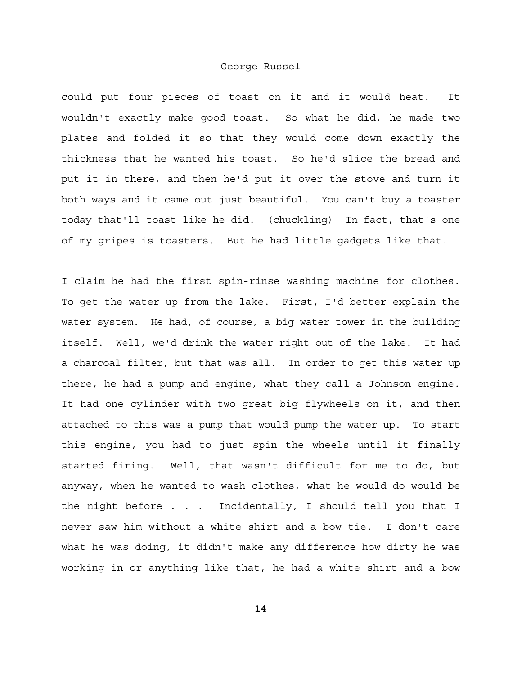could put four pieces of toast on it and it would heat. It wouldn't exactly make good toast. So what he did, he made two plates and folded it so that they would come down exactly the thickness that he wanted his toast. So he'd slice the bread and put it in there, and then he'd put it over the stove and turn it both ways and it came out just beautiful. You can't buy a toaster today that'll toast like he did. (chuckling) In fact, that's one of my gripes is toasters. But he had little gadgets like that.

I claim he had the first spin-rinse washing machine for clothes. To get the water up from the lake. First, I'd better explain the water system. He had, of course, a big water tower in the building itself. Well, we'd drink the water right out of the lake. It had a charcoal filter, but that was all. In order to get this water up there, he had a pump and engine, what they call a Johnson engine. It had one cylinder with two great big flywheels on it, and then attached to this was a pump that would pump the water up. To start this engine, you had to just spin the wheels until it finally started firing. Well, that wasn't difficult for me to do, but anyway, when he wanted to wash clothes, what he would do would be the night before . . . Incidentally, I should tell you that I never saw him without a white shirt and a bow tie. I don't care what he was doing, it didn't make any difference how dirty he was working in or anything like that, he had a white shirt and a bow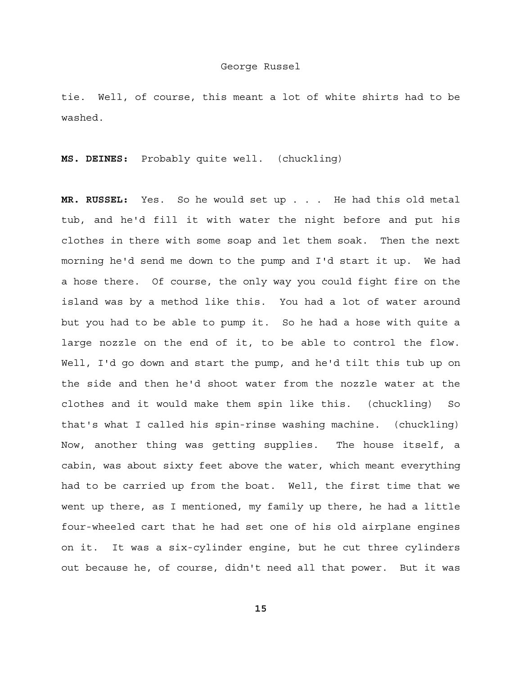tie. Well, of course, this meant a lot of white shirts had to be washed.

**MS. DEINES:** Probably quite well. (chuckling)

**MR. RUSSEL:** Yes. So he would set up . . . He had this old metal tub, and he'd fill it with water the night before and put his clothes in there with some soap and let them soak. Then the next morning he'd send me down to the pump and I'd start it up. We had a hose there. Of course, the only way you could fight fire on the island was by a method like this. You had a lot of water around but you had to be able to pump it. So he had a hose with quite a large nozzle on the end of it, to be able to control the flow. Well, I'd go down and start the pump, and he'd tilt this tub up on the side and then he'd shoot water from the nozzle water at the clothes and it would make them spin like this. (chuckling) So that's what I called his spin-rinse washing machine. (chuckling) Now, another thing was getting supplies. The house itself, a cabin, was about sixty feet above the water, which meant everything had to be carried up from the boat. Well, the first time that we went up there, as I mentioned, my family up there, he had a little four-wheeled cart that he had set one of his old airplane engines on it. It was a six-cylinder engine, but he cut three cylinders out because he, of course, didn't need all that power. But it was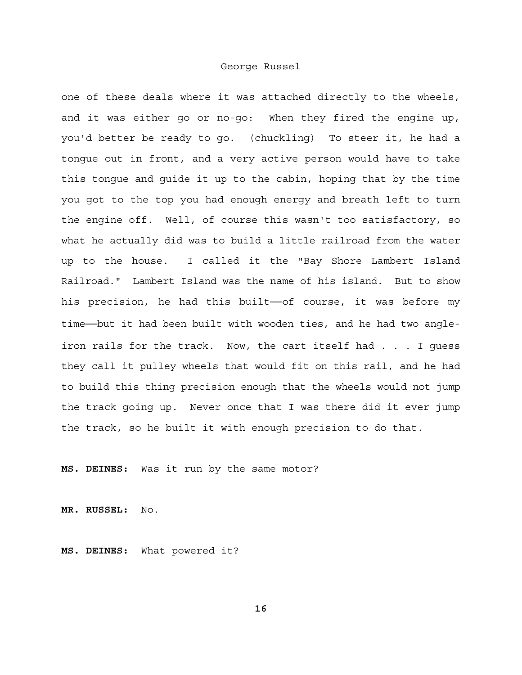one of these deals where it was attached directly to the wheels, and it was either go or no-go: When they fired the engine up, you'd better be ready to go. (chuckling) To steer it, he had a tongue out in front, and a very active person would have to take this tongue and guide it up to the cabin, hoping that by the time you got to the top you had enough energy and breath left to turn the engine off. Well, of course this wasn't too satisfactory, so what he actually did was to build a little railroad from the water up to the house. I called it the "Bay Shore Lambert Island Railroad." Lambert Island was the name of his island. But to show his precision, he had this built-of course, it was before my time--but it had been built with wooden ties, and he had two angleiron rails for the track. Now, the cart itself had . . . I guess they call it pulley wheels that would fit on this rail, and he had to build this thing precision enough that the wheels would not jump the track going up. Never once that I was there did it ever jump the track, so he built it with enough precision to do that.

**MS. DEINES:** Was it run by the same motor?

**MR. RUSSEL:** No.

**MS. DEINES:** What powered it?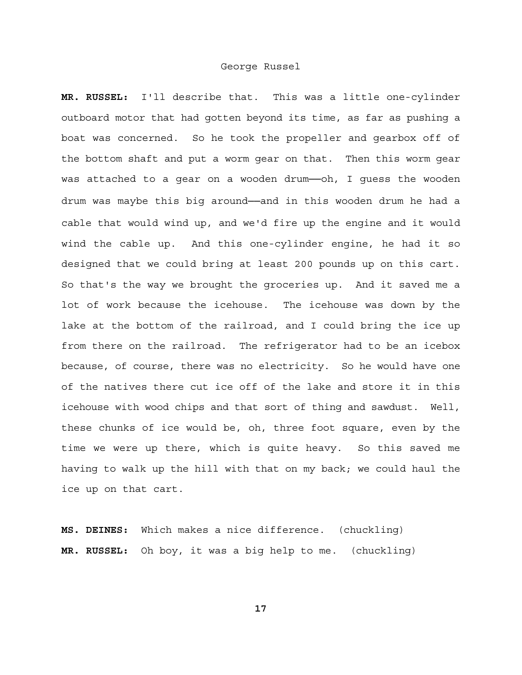**MR. RUSSEL:** I'll describe that. This was a little one-cylinder outboard motor that had gotten beyond its time, as far as pushing a boat was concerned. So he took the propeller and gearbox off of the bottom shaft and put a worm gear on that. Then this worm gear was attached to a gear on a wooden drum--oh, I guess the wooden drum was maybe this big around-and in this wooden drum he had a cable that would wind up, and we'd fire up the engine and it would wind the cable up. And this one-cylinder engine, he had it so designed that we could bring at least 200 pounds up on this cart. So that's the way we brought the groceries up. And it saved me a lot of work because the icehouse. The icehouse was down by the lake at the bottom of the railroad, and I could bring the ice up from there on the railroad. The refrigerator had to be an icebox because, of course, there was no electricity. So he would have one of the natives there cut ice off of the lake and store it in this icehouse with wood chips and that sort of thing and sawdust. Well, these chunks of ice would be, oh, three foot square, even by the time we were up there, which is quite heavy. So this saved me having to walk up the hill with that on my back; we could haul the ice up on that cart.

**MS. DEINES:** Which makes a nice difference. (chuckling) **MR. RUSSEL:** Oh boy, it was a big help to me. (chuckling)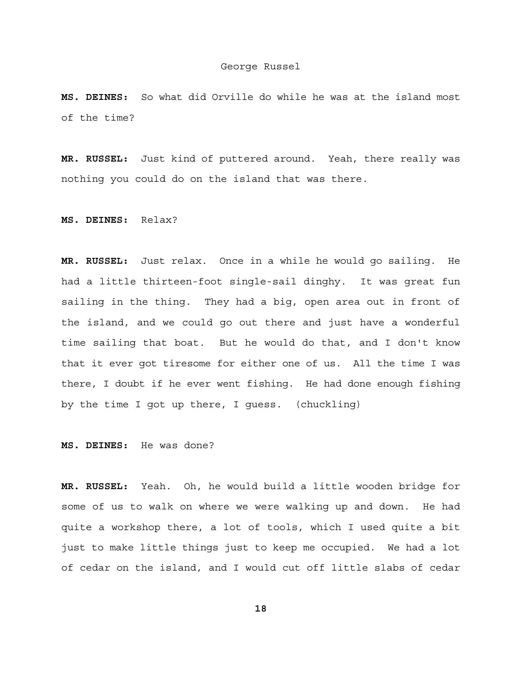**MS. DEINES:** So what did Orville do while he was at the island most of the time?

**MR. RUSSEL:** Just kind of puttered around. Yeah, there really was nothing you could do on the island that was there.

**MS. DEINES:** Relax?

**MR. RUSSEL:** Just relax. Once in a while he would go sailing. He had a little thirteen-foot single-sail dinghy. It was great fun sailing in the thing. They had a big, open area out in front of the island, and we could go out there and just have a wonderful time sailing that boat. But he would do that, and I don't know that it ever got tiresome for either one of us. All the time I was there, I doubt if he ever went fishing. He had done enough fishing by the time I got up there, I guess. (chuckling)

**MS. DEINES:** He was done?

**MR. RUSSEL:** Yeah. Oh, he would build a little wooden bridge for some of us to walk on where we were walking up and down. He had quite a workshop there, a lot of tools, which I used quite a bit just to make little things just to keep me occupied. We had a lot of cedar on the island, and I would cut off little slabs of cedar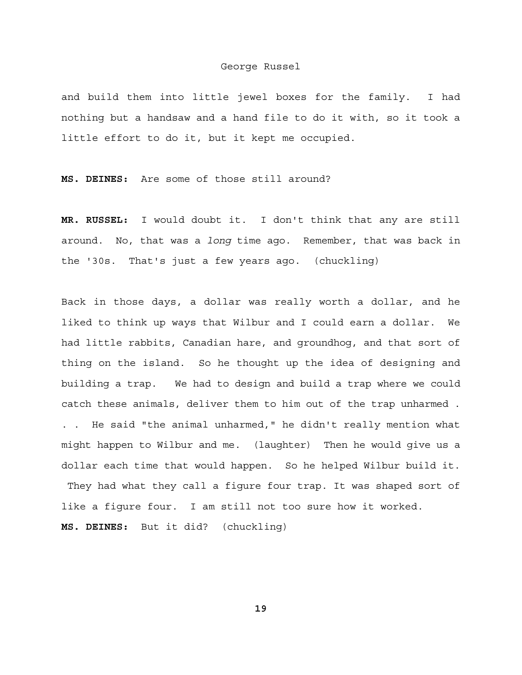and build them into little jewel boxes for the family. I had nothing but a handsaw and a hand file to do it with, so it took a little effort to do it, but it kept me occupied.

**MS. DEINES:** Are some of those still around?

**MR. RUSSEL:** I would doubt it. I don't think that any are still around. No, that was a *long* time ago. Remember, that was back in the '30s. That's just a few years ago. (chuckling)

Back in those days, a dollar was really worth a dollar, and he liked to think up ways that Wilbur and I could earn a dollar. We had little rabbits, Canadian hare, and groundhog, and that sort of thing on the island. So he thought up the idea of designing and building a trap. We had to design and build a trap where we could catch these animals, deliver them to him out of the trap unharmed . . . He said "the animal unharmed," he didn't really mention what might happen to Wilbur and me. (laughter) Then he would give us a dollar each time that would happen. So he helped Wilbur build it. They had what they call a figure four trap. It was shaped sort of like a figure four. I am still not too sure how it worked. **MS. DEINES:** But it did? (chuckling)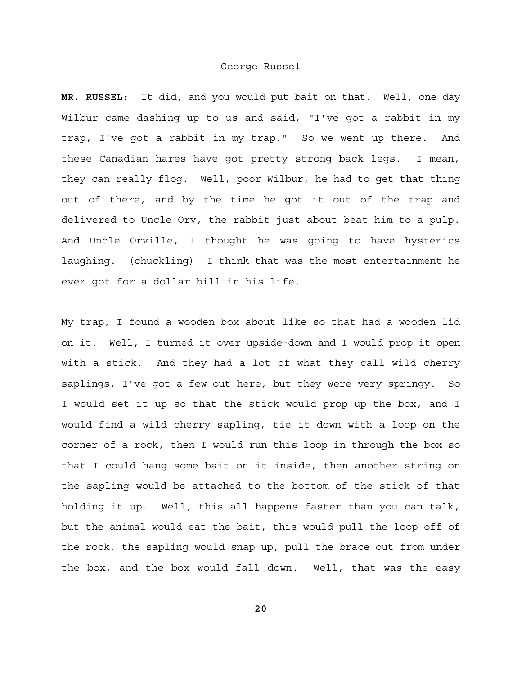**MR. RUSSEL:** It did, and you would put bait on that. Well, one day Wilbur came dashing up to us and said, "I've got a rabbit in my trap, I've got a rabbit in my trap." So we went up there. And these Canadian hares have got pretty strong back legs. I mean, they can really flog. Well, poor Wilbur, he had to get that thing out of there, and by the time he got it out of the trap and delivered to Uncle Orv, the rabbit just about beat him to a pulp. And Uncle Orville, I thought he was going to have hysterics laughing. (chuckling) I think that was the most entertainment he ever got for a dollar bill in his life.

My trap, I found a wooden box about like so that had a wooden lid on it. Well, I turned it over upside-down and I would prop it open with a stick. And they had a lot of what they call wild cherry saplings, I've got a few out here, but they were very springy. So I would set it up so that the stick would prop up the box, and I would find a wild cherry sapling, tie it down with a loop on the corner of a rock, then I would run this loop in through the box so that I could hang some bait on it inside, then another string on the sapling would be attached to the bottom of the stick of that holding it up. Well, this all happens faster than you can talk, but the animal would eat the bait, this would pull the loop off of the rock, the sapling would snap up, pull the brace out from under the box, and the box would fall down. Well, that was the easy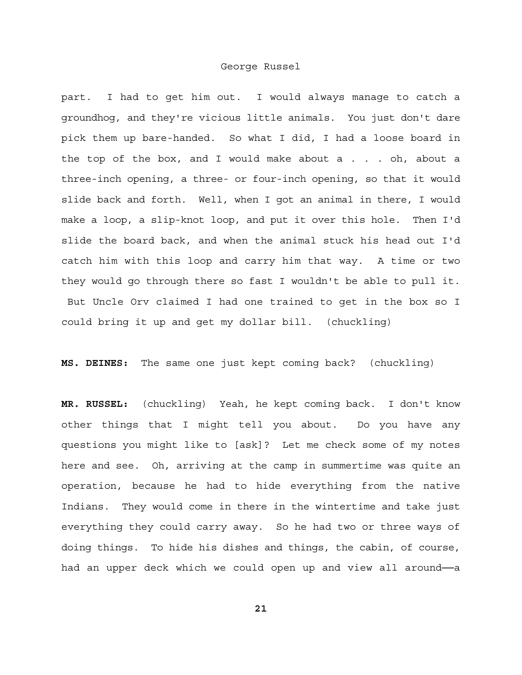part. I had to get him out. I would always manage to catch a groundhog, and they're vicious little animals. You just don't dare pick them up bare-handed. So what I did, I had a loose board in the top of the box, and I would make about a . . . oh, about a three-inch opening, a three- or four-inch opening, so that it would slide back and forth. Well, when I got an animal in there, I would make a loop, a slip-knot loop, and put it over this hole. Then I'd slide the board back, and when the animal stuck his head out I'd catch him with this loop and carry him that way. A time or two they would go through there so fast I wouldn't be able to pull it. But Uncle Orv claimed I had one trained to get in the box so I could bring it up and get my dollar bill. (chuckling)

**MS. DEINES:** The same one just kept coming back? (chuckling)

**MR. RUSSEL:** (chuckling) Yeah, he kept coming back. I don't know other things that I might tell you about. Do you have any questions you might like to [ask]? Let me check some of my notes here and see. Oh, arriving at the camp in summertime was quite an operation, because he had to hide everything from the native Indians. They would come in there in the wintertime and take just everything they could carry away. So he had two or three ways of doing things. To hide his dishes and things, the cabin, of course, had an upper deck which we could open up and view all around-a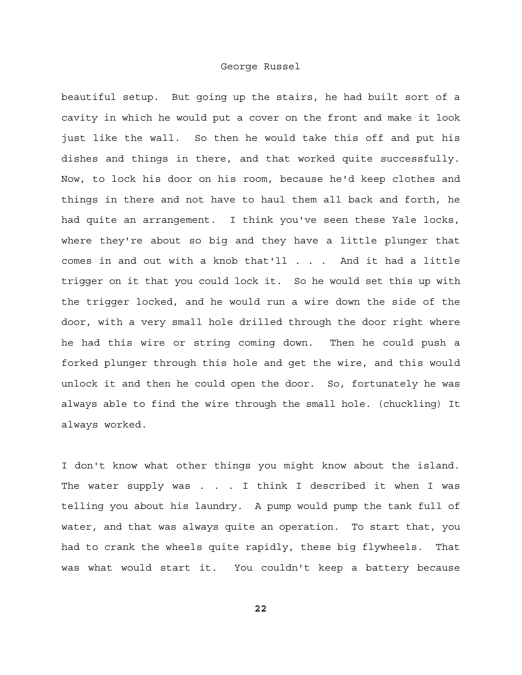beautiful setup. But going up the stairs, he had built sort of a cavity in which he would put a cover on the front and make it look just like the wall. So then he would take this off and put his dishes and things in there, and that worked quite successfully. Now, to lock his door on his room, because he'd keep clothes and things in there and not have to haul them all back and forth, he had quite an arrangement. I think you've seen these Yale locks, where they're about so big and they have a little plunger that comes in and out with a knob that'll . . . And it had a little trigger on it that you could lock it. So he would set this up with the trigger locked, and he would run a wire down the side of the door, with a very small hole drilled through the door right where he had this wire or string coming down. Then he could push a forked plunger through this hole and get the wire, and this would unlock it and then he could open the door. So, fortunately he was always able to find the wire through the small hole. (chuckling) It always worked.

I don't know what other things you might know about the island. The water supply was . . . I think I described it when I was telling you about his laundry. A pump would pump the tank full of water, and that was always quite an operation. To start that, you had to crank the wheels quite rapidly, these big flywheels. That was what would start it. You couldn't keep a battery because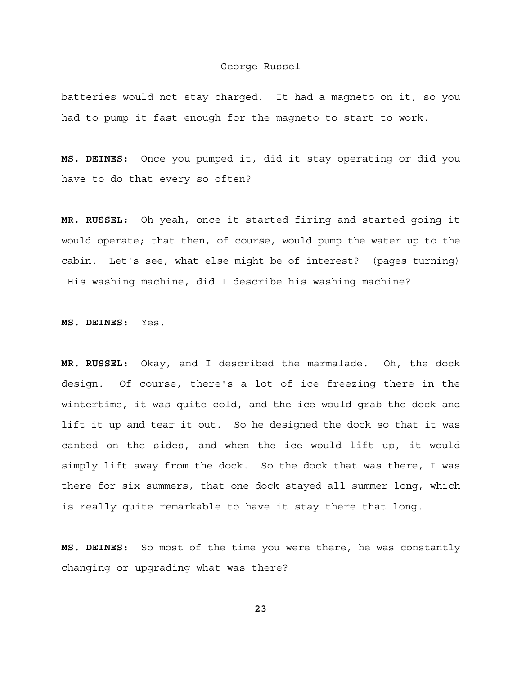batteries would not stay charged. It had a magneto on it, so you had to pump it fast enough for the magneto to start to work.

**MS. DEINES:** Once you pumped it, did it stay operating or did you have to do that every so often?

**MR. RUSSEL:** Oh yeah, once it started firing and started going it would operate; that then, of course, would pump the water up to the cabin. Let's see, what else might be of interest? (pages turning) His washing machine, did I describe his washing machine?

**MS. DEINES:** Yes.

**MR. RUSSEL:** Okay, and I described the marmalade. Oh, the dock design. Of course, there's a lot of ice freezing there in the wintertime, it was quite cold, and the ice would grab the dock and lift it up and tear it out. So he designed the dock so that it was canted on the sides, and when the ice would lift up, it would simply lift away from the dock. So the dock that was there, I was there for six summers, that one dock stayed all summer long, which is really quite remarkable to have it stay there that long.

**MS. DEINES:** So most of the time you were there, he was constantly changing or upgrading what was there?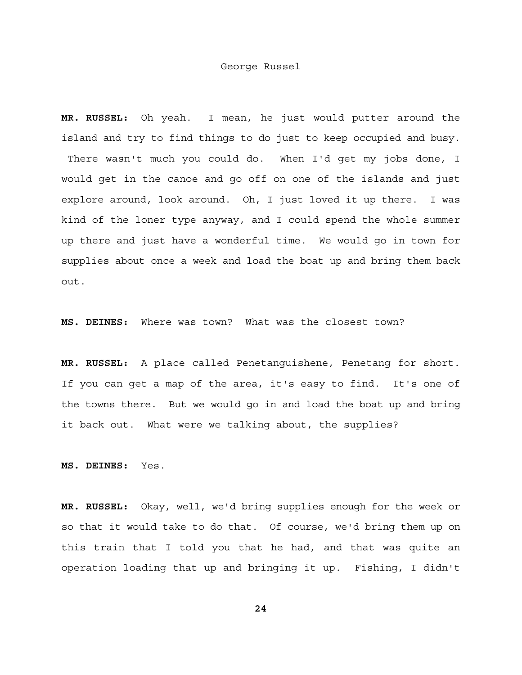**MR. RUSSEL:** Oh yeah. I mean, he just would putter around the island and try to find things to do just to keep occupied and busy. There wasn't much you could do. When I'd get my jobs done, I would get in the canoe and go off on one of the islands and just explore around, look around. Oh, I just loved it up there. I was kind of the loner type anyway, and I could spend the whole summer up there and just have a wonderful time. We would go in town for supplies about once a week and load the boat up and bring them back out.

**MS. DEINES:** Where was town? What was the closest town?

**MR. RUSSEL:** A place called Penetanguishene, Penetang for short. If you can get a map of the area, it's easy to find. It's one of the towns there. But we would go in and load the boat up and bring it back out. What were we talking about, the supplies?

**MS. DEINES:** Yes.

**MR. RUSSEL:** Okay, well, we'd bring supplies enough for the week or so that it would take to do that. Of course, we'd bring them up on this train that I told you that he had, and that was quite an operation loading that up and bringing it up. Fishing, I didn't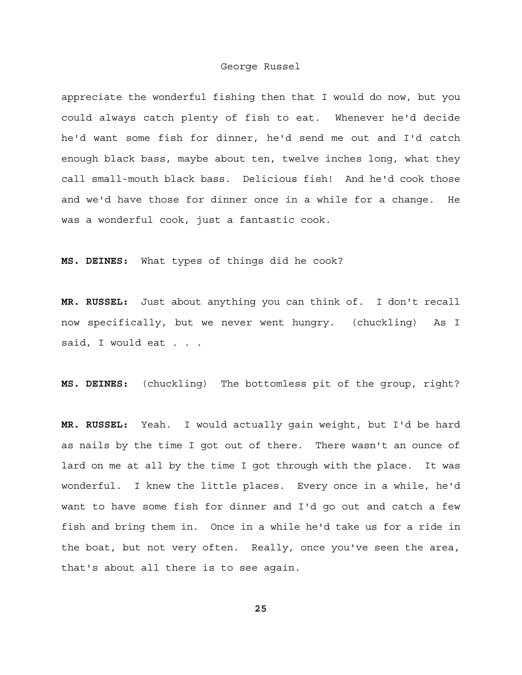appreciate the wonderful fishing then that I would do now, but you could always catch plenty of fish to eat. Whenever he'd decide he'd want some fish for dinner, he'd send me out and I'd catch enough black bass, maybe about ten, twelve inches long, what they call small-mouth black bass. Delicious fish! And he'd cook those and we'd have those for dinner once in a while for a change. He was a wonderful cook, just a fantastic cook.

**MS. DEINES:** What types of things did he cook?

**MR. RUSSEL:** Just about anything you can think of. I don't recall now specifically, but we never went hungry. (chuckling) As I said, I would eat . . .

**MS. DEINES:** (chuckling) The bottomless pit of the group, right?

**MR. RUSSEL:** Yeah. I would actually gain weight, but I'd be hard as nails by the time I got out of there. There wasn't an ounce of lard on me at all by the time I got through with the place. It was wonderful. I knew the little places. Every once in a while, he'd want to have some fish for dinner and I'd go out and catch a few fish and bring them in. Once in a while he'd take us for a ride in the boat, but not very often. Really, once you've seen the area, that's about all there is to see again.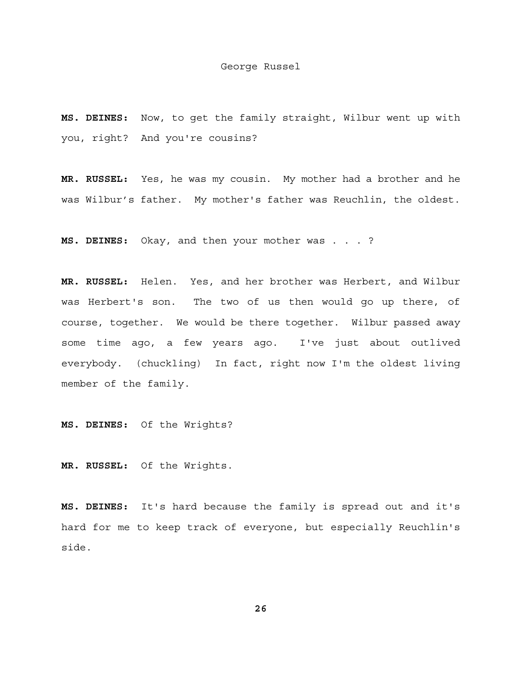**MS. DEINES:** Now, to get the family straight, Wilbur went up with you, right? And you're cousins?

**MR. RUSSEL:** Yes, he was my cousin. My mother had a brother and he was Wilbur's father. My mother's father was Reuchlin, the oldest.

**MS. DEINES:** Okay, and then your mother was . . . ?

**MR. RUSSEL:** Helen. Yes, and her brother was Herbert, and Wilbur was Herbert's son. The two of us then would go up there, of course, together. We would be there together. Wilbur passed away some time ago, a few years ago. I've just about outlived everybody. (chuckling) In fact, right now I'm the oldest living member of the family.

**MS. DEINES:** Of the Wrights?

**MR. RUSSEL:** Of the Wrights.

**MS. DEINES:** It's hard because the family is spread out and it's hard for me to keep track of everyone, but especially Reuchlin's side.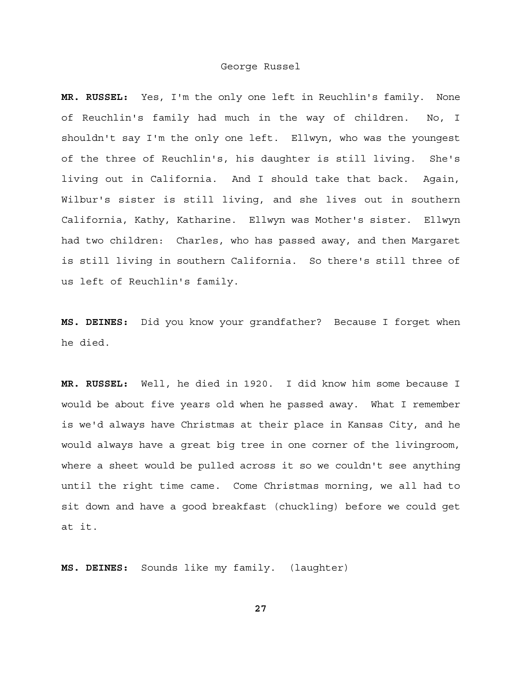**MR. RUSSEL:** Yes, I'm the only one left in Reuchlin's family. None of Reuchlin's family had much in the way of children. No, I shouldn't say I'm the only one left. Ellwyn, who was the youngest of the three of Reuchlin's, his daughter is still living. She's living out in California. And I should take that back. Again, Wilbur's sister is still living, and she lives out in southern California, Kathy, Katharine. Ellwyn was Mother's sister. Ellwyn had two children: Charles, who has passed away, and then Margaret is still living in southern California. So there's still three of us left of Reuchlin's family.

**MS. DEINES:** Did you know your grandfather? Because I forget when he died.

**MR. RUSSEL:** Well, he died in 1920. I did know him some because I would be about five years old when he passed away. What I remember is we'd always have Christmas at their place in Kansas City, and he would always have a great big tree in one corner of the livingroom, where a sheet would be pulled across it so we couldn't see anything until the right time came. Come Christmas morning, we all had to sit down and have a good breakfast (chuckling) before we could get at it.

**MS. DEINES:** Sounds like my family. (laughter)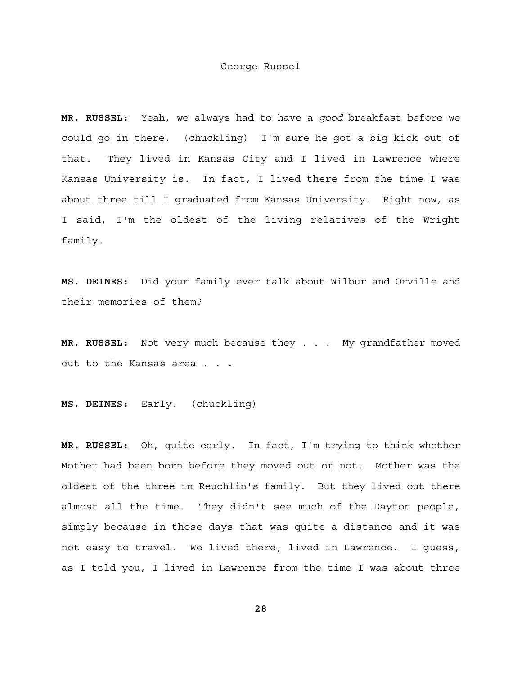**MR. RUSSEL:** Yeah, we always had to have a *good* breakfast before we could go in there. (chuckling) I'm sure he got a big kick out of that. They lived in Kansas City and I lived in Lawrence where Kansas University is. In fact, I lived there from the time I was about three till I graduated from Kansas University. Right now, as I said, I'm the oldest of the living relatives of the Wright family.

**MS. DEINES:** Did your family ever talk about Wilbur and Orville and their memories of them?

**MR. RUSSEL:** Not very much because they . . . My grandfather moved out to the Kansas area . . .

**MS. DEINES:** Early. (chuckling)

**MR. RUSSEL:** Oh, quite early. In fact, I'm trying to think whether Mother had been born before they moved out or not. Mother was the oldest of the three in Reuchlin's family. But they lived out there almost all the time. They didn't see much of the Dayton people, simply because in those days that was quite a distance and it was not easy to travel. We lived there, lived in Lawrence. I guess, as I told you, I lived in Lawrence from the time I was about three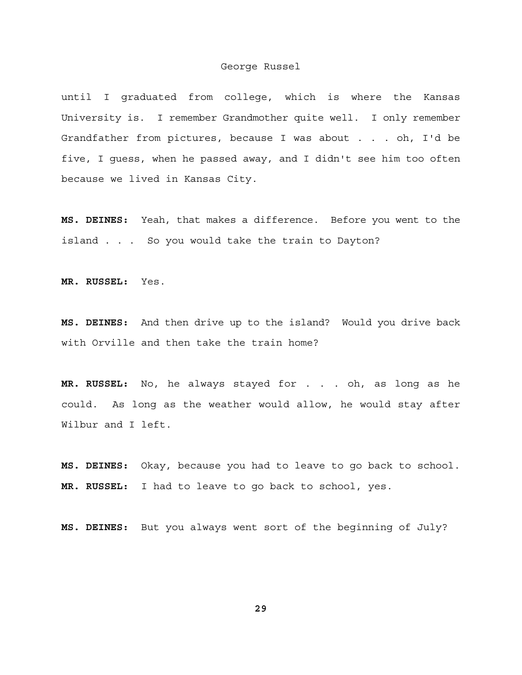until I graduated from college, which is where the Kansas University is. I remember Grandmother quite well. I only remember Grandfather from pictures, because I was about . . . oh, I'd be five, I guess, when he passed away, and I didn't see him too often because we lived in Kansas City.

**MS. DEINES:** Yeah, that makes a difference. Before you went to the island . . . So you would take the train to Dayton?

**MR. RUSSEL:** Yes.

**MS. DEINES:** And then drive up to the island? Would you drive back with Orville and then take the train home?

**MR. RUSSEL:** No, he always stayed for . . . oh, as long as he could. As long as the weather would allow, he would stay after Wilbur and I left.

**MS. DEINES:** Okay, because you had to leave to go back to school. **MR. RUSSEL:** I had to leave to go back to school, yes.

**MS. DEINES:** But you always went sort of the beginning of July?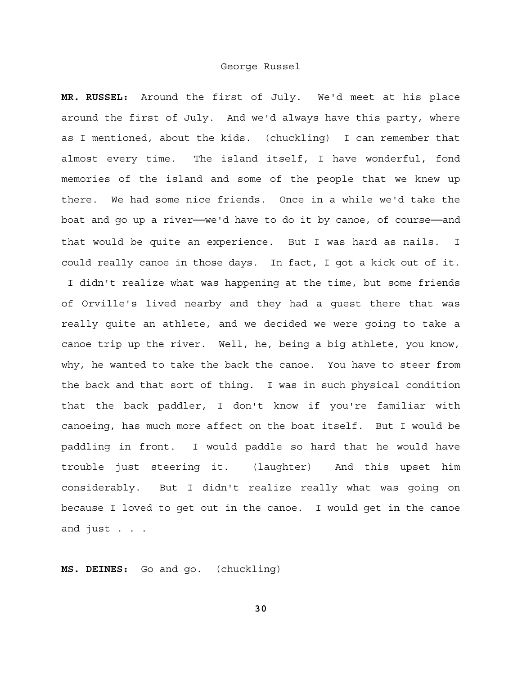**MR. RUSSEL:** Around the first of July. We'd meet at his place around the first of July. And we'd always have this party, where as I mentioned, about the kids. (chuckling) I can remember that almost every time. The island itself, I have wonderful, fond memories of the island and some of the people that we knew up there. We had some nice friends. Once in a while we'd take the boat and go up a river--we'd have to do it by canoe, of course--and that would be quite an experience. But I was hard as nails. I could really canoe in those days. In fact, I got a kick out of it. I didn't realize what was happening at the time, but some friends of Orville's lived nearby and they had a guest there that was really quite an athlete, and we decided we were going to take a canoe trip up the river. Well, he, being a big athlete, you know, why, he wanted to take the back the canoe. You have to steer from the back and that sort of thing. I was in such physical condition that the back paddler, I don't know if you're familiar with canoeing, has much more affect on the boat itself. But I would be paddling in front. I would paddle so hard that he would have trouble just steering it. (laughter) And this upset him considerably. But I didn't realize really what was going on because I loved to get out in the canoe. I would get in the canoe and just . . .

**MS. DEINES:** Go and go. (chuckling)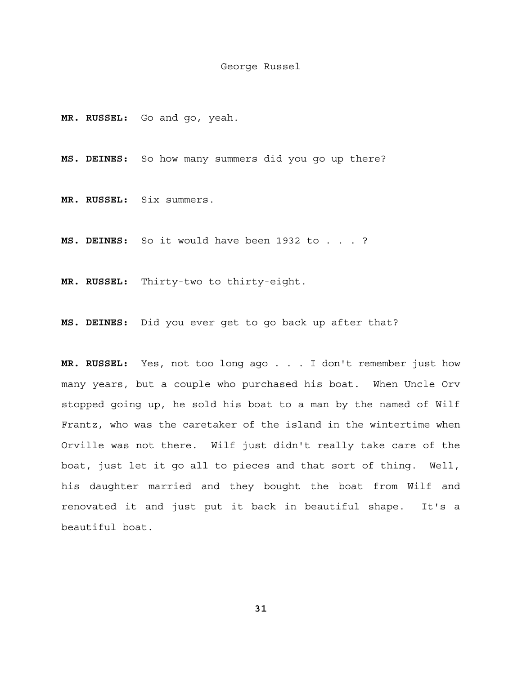**MR. RUSSEL:** Go and go, yeah.

**MS. DEINES:** So how many summers did you go up there?

**MR. RUSSEL:** Six summers.

**MS. DEINES:** So it would have been 1932 to . . . ?

**MR. RUSSEL:** Thirty-two to thirty-eight.

**MS. DEINES:** Did you ever get to go back up after that?

**MR. RUSSEL:** Yes, not too long ago . . . I don't remember just how many years, but a couple who purchased his boat. When Uncle Orv stopped going up, he sold his boat to a man by the named of Wilf Frantz, who was the caretaker of the island in the wintertime when Orville was not there. Wilf just didn't really take care of the boat, just let it go all to pieces and that sort of thing. Well, his daughter married and they bought the boat from Wilf and renovated it and just put it back in beautiful shape. It's a beautiful boat.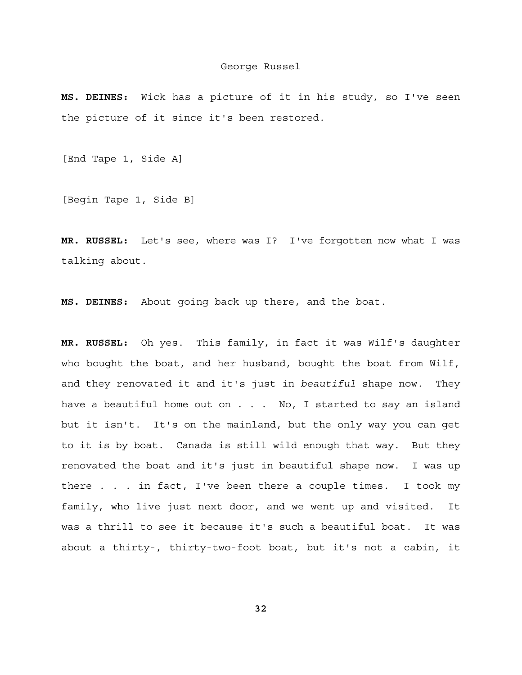**MS. DEINES:** Wick has a picture of it in his study, so I've seen the picture of it since it's been restored.

[End Tape 1, Side A]

[Begin Tape 1, Side B]

**MR. RUSSEL:** Let's see, where was I? I've forgotten now what I was talking about.

**MS. DEINES:** About going back up there, and the boat.

**MR. RUSSEL:** Oh yes. This family, in fact it was Wilf's daughter who bought the boat, and her husband, bought the boat from Wilf, and they renovated it and it's just in *beautiful* shape now. They have a beautiful home out on . . . No, I started to say an island but it isn't. It's on the mainland, but the only way you can get to it is by boat. Canada is still wild enough that way. But they renovated the boat and it's just in beautiful shape now. I was up there . . . in fact, I've been there a couple times. I took my family, who live just next door, and we went up and visited. It was a thrill to see it because it's such a beautiful boat. It was about a thirty-, thirty-two-foot boat, but it's not a cabin, it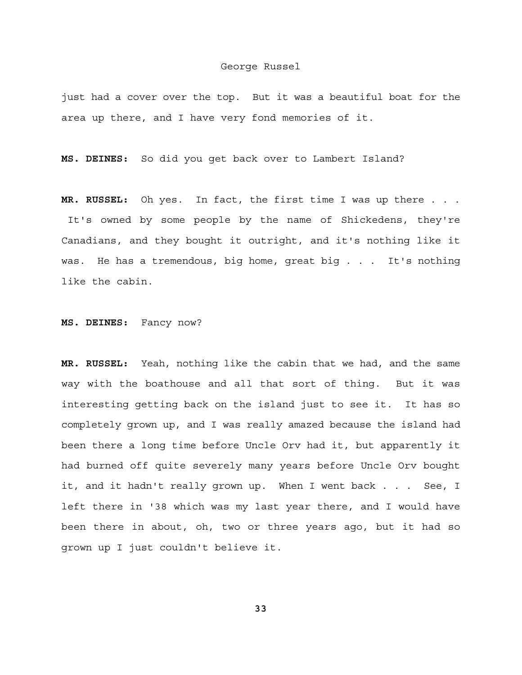just had a cover over the top. But it was a beautiful boat for the area up there, and I have very fond memories of it.

**MS. DEINES:** So did you get back over to Lambert Island?

**MR. RUSSEL:** Oh yes. In fact, the first time I was up there . . . It's owned by some people by the name of Shickedens, they're Canadians, and they bought it outright, and it's nothing like it was. He has a tremendous, big home, great big . . . It's nothing like the cabin.

**MS. DEINES:** Fancy now?

**MR. RUSSEL:** Yeah, nothing like the cabin that we had, and the same way with the boathouse and all that sort of thing. But it was interesting getting back on the island just to see it. It has so completely grown up, and I was really amazed because the island had been there a long time before Uncle Orv had it, but apparently it had burned off quite severely many years before Uncle Orv bought it, and it hadn't really grown up. When I went back . . . See, I left there in '38 which was my last year there, and I would have been there in about, oh, two or three years ago, but it had so grown up I just couldn't believe it.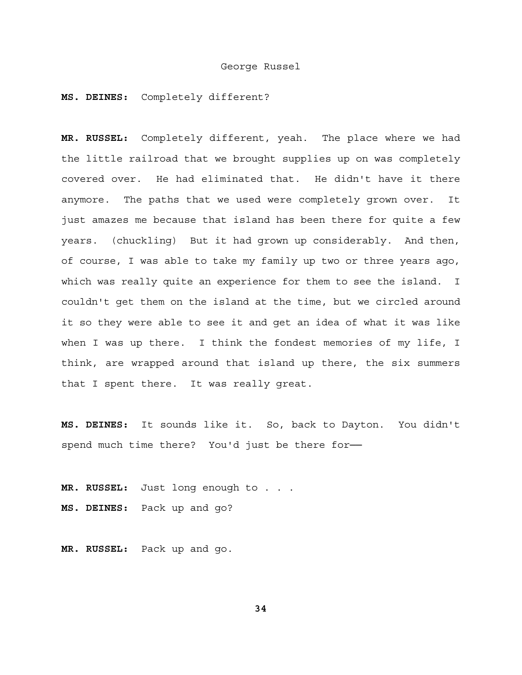#### **MS. DEINES:** Completely different?

**MR. RUSSEL:** Completely different, yeah. The place where we had the little railroad that we brought supplies up on was completely covered over. He had eliminated that. He didn't have it there anymore. The paths that we used were completely grown over. It just amazes me because that island has been there for quite a few years. (chuckling) But it had grown up considerably. And then, of course, I was able to take my family up two or three years ago, which was really quite an experience for them to see the island. I couldn't get them on the island at the time, but we circled around it so they were able to see it and get an idea of what it was like when I was up there. I think the fondest memories of my life, I think, are wrapped around that island up there, the six summers that I spent there. It was really great.

**MS. DEINES:** It sounds like it. So, back to Dayton. You didn't spend much time there? You'd just be there for-

**MR. RUSSEL:** Just long enough to . . . **MS. DEINES:** Pack up and go?

**MR. RUSSEL:** Pack up and go.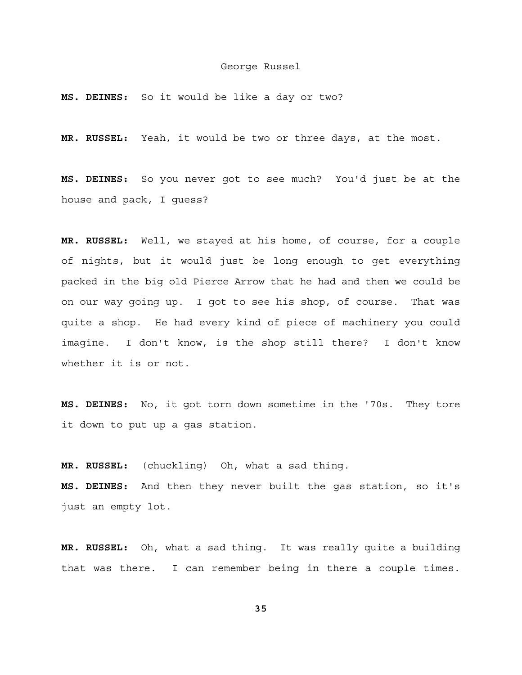**MS. DEINES:** So it would be like a day or two?

**MR. RUSSEL:** Yeah, it would be two or three days, at the most.

**MS. DEINES:** So you never got to see much? You'd just be at the house and pack, I guess?

**MR. RUSSEL:** Well, we stayed at his home, of course, for a couple of nights, but it would just be long enough to get everything packed in the big old Pierce Arrow that he had and then we could be on our way going up. I got to see his shop, of course. That was quite a shop. He had every kind of piece of machinery you could imagine. I don't know, is the shop still there? I don't know whether it is or not.

**MS. DEINES:** No, it got torn down sometime in the '70s. They tore it down to put up a gas station.

**MR. RUSSEL:** (chuckling) Oh, what a sad thing. **MS. DEINES:** And then they never built the gas station, so it's just an empty lot.

**MR. RUSSEL:** Oh, what a sad thing. It was really quite a building that was there. I can remember being in there a couple times.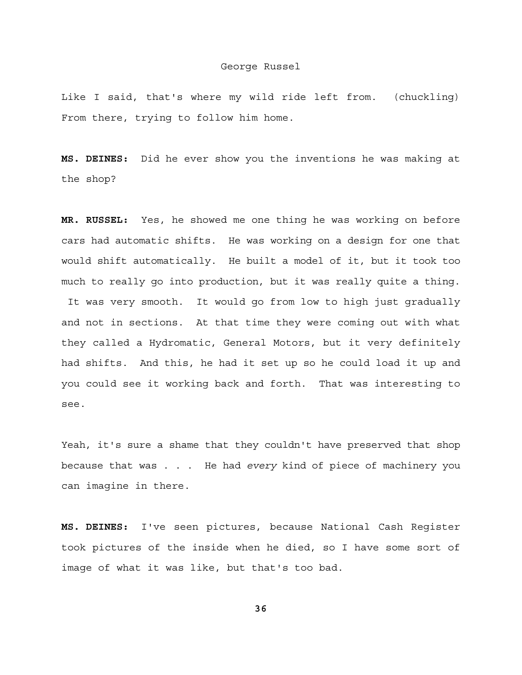Like I said, that's where my wild ride left from. (chuckling) From there, trying to follow him home.

**MS. DEINES:** Did he ever show you the inventions he was making at the shop?

**MR. RUSSEL:** Yes, he showed me one thing he was working on before cars had automatic shifts. He was working on a design for one that would shift automatically. He built a model of it, but it took too much to really go into production, but it was really quite a thing. It was very smooth. It would go from low to high just gradually and not in sections. At that time they were coming out with what they called a Hydromatic, General Motors, but it very definitely had shifts. And this, he had it set up so he could load it up and you could see it working back and forth. That was interesting to

see.

Yeah, it's sure a shame that they couldn't have preserved that shop because that was . . . He had *every* kind of piece of machinery you can imagine in there.

**MS. DEINES:** I've seen pictures, because National Cash Register took pictures of the inside when he died, so I have some sort of image of what it was like, but that's too bad.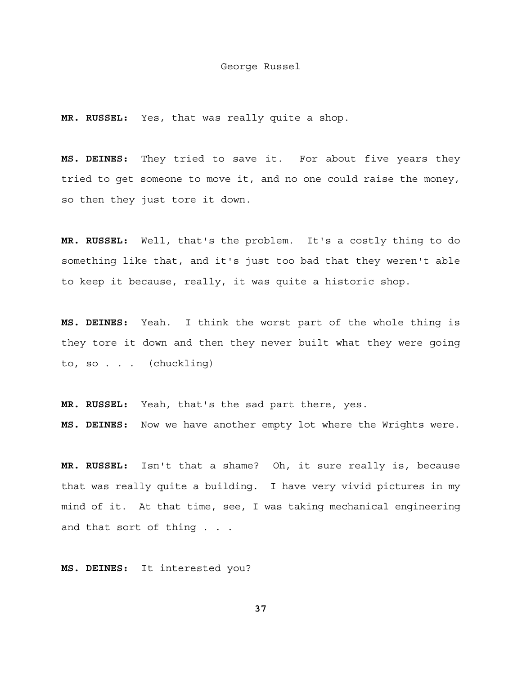**MR. RUSSEL:** Yes, that was really quite a shop.

**MS. DEINES:** They tried to save it. For about five years they tried to get someone to move it, and no one could raise the money, so then they just tore it down.

**MR. RUSSEL:** Well, that's the problem. It's a costly thing to do something like that, and it's just too bad that they weren't able to keep it because, really, it was quite a historic shop.

**MS. DEINES:** Yeah. I think the worst part of the whole thing is they tore it down and then they never built what they were going to, so . . . (chuckling)

**MR. RUSSEL:** Yeah, that's the sad part there, yes. **MS. DEINES:** Now we have another empty lot where the Wrights were.

**MR. RUSSEL:** Isn't that a shame? Oh, it sure really is, because that was really quite a building. I have very vivid pictures in my mind of it. At that time, see, I was taking mechanical engineering and that sort of thing . . .

**MS. DEINES:** It interested you?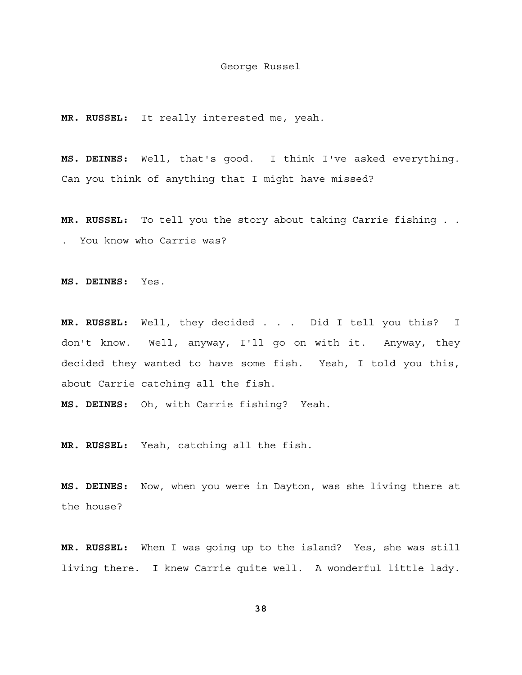**MR. RUSSEL:** It really interested me, yeah.

**MS. DEINES:** Well, that's good. I think I've asked everything. Can you think of anything that I might have missed?

**MR. RUSSEL:** To tell you the story about taking Carrie fishing . . . You know who Carrie was?

**MS. DEINES:** Yes.

**MR. RUSSEL:** Well, they decided . . . Did I tell you this? I don't know. Well, anyway, I'll go on with it. Anyway, they decided they wanted to have some fish. Yeah, I told you this, about Carrie catching all the fish.

**MS. DEINES:** Oh, with Carrie fishing? Yeah.

**MR. RUSSEL:** Yeah, catching all the fish.

**MS. DEINES:** Now, when you were in Dayton, was she living there at the house?

**MR. RUSSEL:** When I was going up to the island? Yes, she was still living there. I knew Carrie quite well. A wonderful little lady.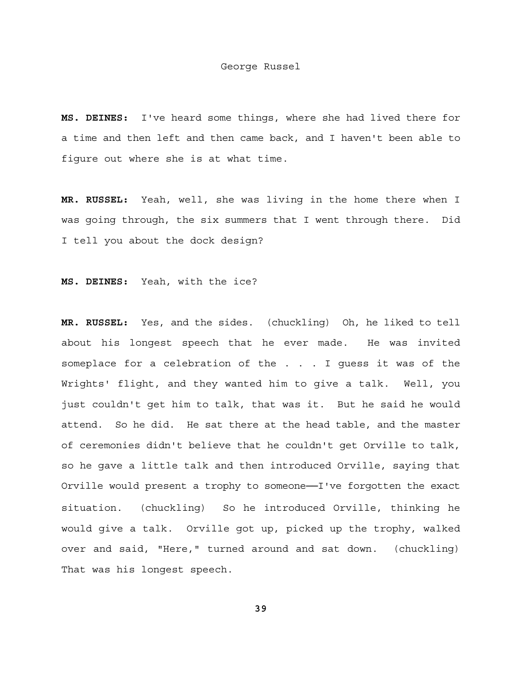**MS. DEINES:** I've heard some things, where she had lived there for a time and then left and then came back, and I haven't been able to figure out where she is at what time.

**MR. RUSSEL:** Yeah, well, she was living in the home there when I was going through, the six summers that I went through there. Did I tell you about the dock design?

**MS. DEINES:** Yeah, with the ice?

**MR. RUSSEL:** Yes, and the sides. (chuckling) Oh, he liked to tell about his longest speech that he ever made. He was invited someplace for a celebration of the . . . I guess it was of the Wrights' flight, and they wanted him to give a talk. Well, you just couldn't get him to talk, that was it. But he said he would attend. So he did. He sat there at the head table, and the master of ceremonies didn't believe that he couldn't get Orville to talk, so he gave a little talk and then introduced Orville, saying that Orville would present a trophy to someone──I've forgotten the exact situation. (chuckling) So he introduced Orville, thinking he would give a talk. Orville got up, picked up the trophy, walked over and said, "Here," turned around and sat down. (chuckling) That was his longest speech.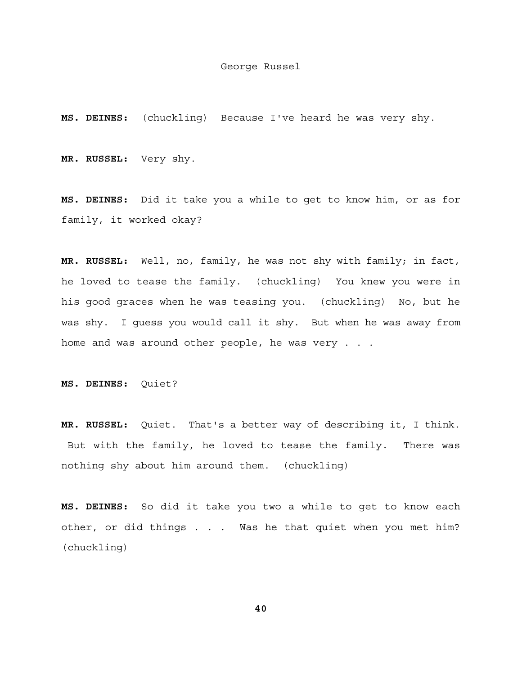**MS. DEINES:** (chuckling) Because I've heard he was very shy.

**MR. RUSSEL:** Very shy.

**MS. DEINES:** Did it take you a while to get to know him, or as for family, it worked okay?

**MR. RUSSEL:** Well, no, family, he was not shy with family; in fact, he loved to tease the family. (chuckling) You knew you were in his good graces when he was teasing you. (chuckling) No, but he was shy. I guess you would call it shy. But when he was away from home and was around other people, he was very . . .

**MS. DEINES:** Quiet?

**MR. RUSSEL:** Quiet. That's a better way of describing it, I think. But with the family, he loved to tease the family. There was nothing shy about him around them. (chuckling)

**MS. DEINES:** So did it take you two a while to get to know each other, or did things . . . Was he that quiet when you met him? (chuckling)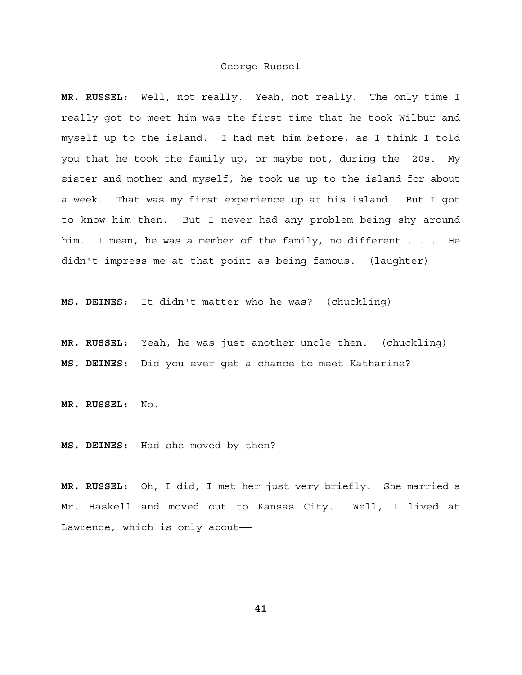**MR. RUSSEL:** Well, not really. Yeah, not really. The only time I really got to meet him was the first time that he took Wilbur and myself up to the island. I had met him before, as I think I told you that he took the family up, or maybe not, during the '20s. My sister and mother and myself, he took us up to the island for about a week. That was my first experience up at his island. But I got to know him then. But I never had any problem being shy around him. I mean, he was a member of the family, no different . . . He didn't impress me at that point as being famous. (laughter)

**MS. DEINES:** It didn't matter who he was? (chuckling)

**MR. RUSSEL:** Yeah, he was just another uncle then. (chuckling) **MS. DEINES:** Did you ever get a chance to meet Katharine?

**MR. RUSSEL:** No.

**MS. DEINES:** Had she moved by then?

**MR. RUSSEL:** Oh, I did, I met her just very briefly. She married a Mr. Haskell and moved out to Kansas City. Well, I lived at Lawrence, which is only about-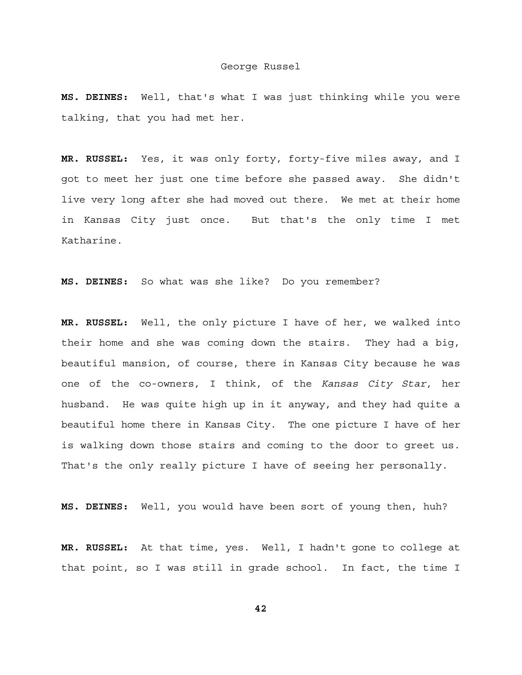**MS. DEINES:** Well, that's what I was just thinking while you were talking, that you had met her.

**MR. RUSSEL:** Yes, it was only forty, forty-five miles away, and I got to meet her just one time before she passed away. She didn't live very long after she had moved out there. We met at their home in Kansas City just once. But that's the only time I met Katharine.

**MS. DEINES:** So what was she like? Do you remember?

**MR. RUSSEL:** Well, the only picture I have of her, we walked into their home and she was coming down the stairs. They had a big, beautiful mansion, of course, there in Kansas City because he was one of the co-owners, I think, of the *Kansas City Star*, her husband. He was quite high up in it anyway, and they had quite a beautiful home there in Kansas City. The one picture I have of her is walking down those stairs and coming to the door to greet us. That's the only really picture I have of seeing her personally.

**MS. DEINES:** Well, you would have been sort of young then, huh?

**MR. RUSSEL:** At that time, yes. Well, I hadn't gone to college at that point, so I was still in grade school. In fact, the time I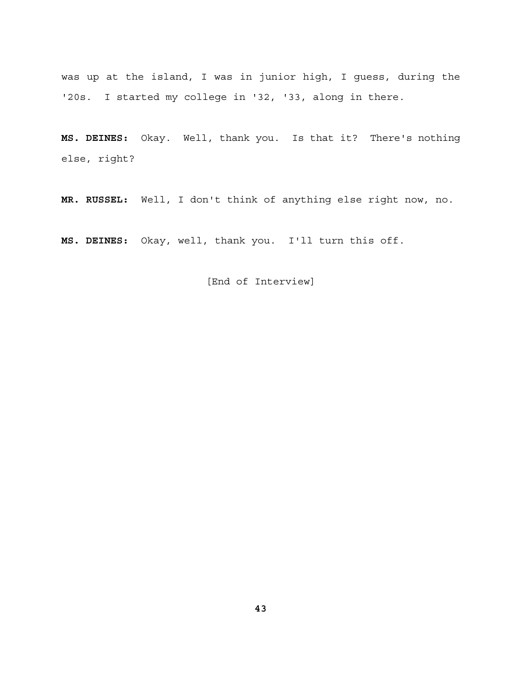was up at the island, I was in junior high, I guess, during the '20s. I started my college in '32, '33, along in there.

**MS. DEINES:** Okay. Well, thank you. Is that it? There's nothing else, right?

**MR. RUSSEL:** Well, I don't think of anything else right now, no.

**MS. DEINES:** Okay, well, thank you. I'll turn this off.

[End of Interview]